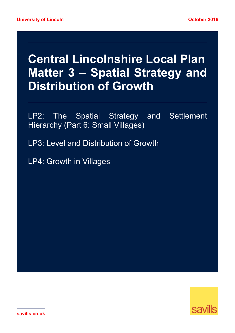# **Central Lincolnshire Local Plan Matter 3 – Spatial Strategy and Distribution of Growth**

LP2: The Spatial Strategy and Settlement Hierarchy (Part 6: Small Villages)

LP3: Level and Distribution of Growth

LP4: Growth in Villages

savills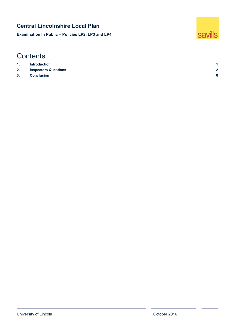**Examination In Public – Policies LP2, LP3 and LP4** 



| . . | <b>Introduction</b>         |   |
|-----|-----------------------------|---|
| 2.  | <b>Inspectors Questions</b> | c |
| 3.  | <b>Conclusion</b>           |   |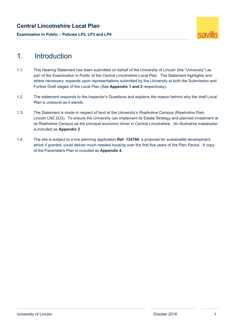**Examination In Public – Policies LP2, LP3 and LP4** 



# 1. Introduction

- 1.1. This Hearing Statement has been submitted on behalf of the University of Lincoln (the "University") as part of the Examination in Public of the Central Lincolnshire Local Plan. The Statement highlights and where necessary, expands upon representations submitted by the University at both the Submission and Further Draft stages of the Local Plan (See **Appendix 1 and 2** respectively).
- 1.2. The statement responds to the Inspector's Questions and explains the reason behind why the draft Local Plan is unsound as it stands.
- 1.3. The Statement is made in respect of land at the University's Riseholme Campus (Riseholme Park, Lincoln LN2 2LG). To ensure the University can implement its Estate Strategy and planned investment at its Riseholme Campus as the principal economic driver in Central Lincolnshire. An illustrative masterplan is included as **Appendix 3**.
- 1.4. The site is subject to a live planning application **Ref: 134780**: a proposal for sustainable development, which if granted, could deliver much needed housing over the first five years of the Plan Period. A copy of the Parameters Plan is included as **Appendix 4.**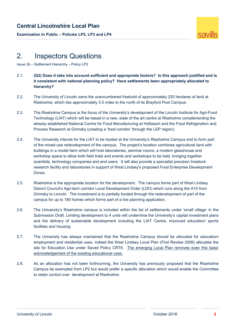**Examination In Public – Policies LP2, LP3 and LP4** 



# 2. Inspectors Questions

Issue 3b – Settlement Hierarchy – Policy LP2

- 2.1. **(Q3) Does it take into account sufficient and appropriate factors? Is this approach justified and is it consistent with national planning policy? Have settlements been appropriately allocated to hierarchy?**
- 2.2. The University of Lincoln owns the unencumbered freehold of approximately 220 hectares of land at Riseholme, which lies approximately 3.5 miles to the north of its Brayford Pool Campus.
- 2.3. The Riseholme Campus is the focus of the University's development of the Lincoln Institute for Agri-Food Technology (LIAT) which will be based in a new, state of the art centre at Riseholme complementing the already established National Centre for Food Manufacturing at Holbeach and the Food Refrigeration and Process Research at Grimsby (creating a 'food corridor' through the LEP region).
- 2.4. The University intends for the LIAT to be hosted at the University's Riseholme Campus and to form part of the mixed-use redevelopment of the campus. The project's location combines agricultural land with buildings in a model farm which will host laboratories, seminar rooms, a modern glasshouse and workshop space to allow both field trials and events and workshops to be held, bringing together scientists, technology companies and end users. It will also provide a specialist precision livestock research facility and laboratories in support of West Lindsey's proposed Food Enterprise Development Zones.
- 2.5. Riseholme is the appropriate location for the development. The campus forms part of West Lindsey District Council's Agri-tech corridor Local Development Order (LDO) which runs along the A15 from Grimsby to Lincoln. The investment is to partially funded through the redevelopment of part of the campus for up to 180 homes which forms part of a live planning application.
- 2.6. The University's Riseholme campus is included within the list of settlements under 'small village' in the Submission Draft. Limiting development to 4 units will undermine the University's capital investment plans and the delivery of sustainable development including the LIAT Centre, improved education/ sports facilities and housing.
- 2.7. The University has always maintained that the Riseholme Campus should be allocated for education/ employment and residential uses, indeed the West Lindsey Local Plan (First Review 2006) allocates the site for Education Use under Saved Policy CRT6. The emerging Local Plan removes even this basic acknowledgement of the existing educational uses.
- 2.8. As an allocation has not been forthcoming, the University has previously proposed that the Riseholme Campus be exempted from LP2 but would prefer a specific allocation which would enable the Committee to retain control over development at Riseholme.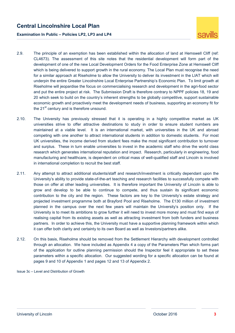

**Examination In Public – Policies LP2, LP3 and LP4** 

- 2.9. The principle of an exemption has been established within the allocation of land at Hemswell Cliff (ref: CL4673). The assessment of this site notes that the residential development will form part of the development of one of the new Local Development Orders for the Food Enterprise Zone at Hemswell Cliff which is being delivered to support growth in the rural economy. The Local Plan must recognise the need for a similar approach at Riseholme to allow the University to deliver its investment in the LIAT which will underpin the entire Greater Lincolnshire Local Enterprise Partnership's Economic Plan. To limit growth at Riseholme will jeopardise the focus on commercialising research and development in the agri-food sector and put the entire project at risk. The Submission Draft is therefore contrary to NPPF policies 18, 19 and 20 which seek to build on the country's inherent strengths to be globally competitive, support sustainable economic growth and proactively meet the development needs of business, supporting an economy fit for the  $21<sup>st</sup>$  century and is therefore unsound.
- 2.10. The University has previously stressed that it is operating in a highly competitive market as UK universities strive to offer attractive destinations to study in order to ensure student numbers are maintained at a viable level. It is an international market, with universities in the UK and abroad competing with one another to attract international students in addition to domestic students. For most UK universities, the income derived from student fees make the most significant contribution to turnover and surplus. These in turn enable universities to invest in the academic staff who drive the world class research which generates international reputation and impact. Research, particularly in engineering, food manufacturing and healthcare, is dependent on critical mass of well-qualified staff and Lincoln is involved in international completion to recruit the best staff.
- 2.11. Any attempt to attract additional students/staff and research/investment is critically dependant upon the University's ability to provide state-of-the-art teaching and research facilities to successfully compete with those on offer at other leading universities. It is therefore important the University of Lincoln is able to grow and develop to be able to continue to compete, and thus sustain its significant economic contribution to the city and the region. These factors are key to the University's estate strategy and projected investment programme both at Brayford Pool and Riseholme. The £130 million of investment planned in the campus over the next few years will maintain the University's position only. If the University is to meet its ambitions to grow further it will need to invest more money and must find ways of realising capital from its existing assets as well as attracting investment from both funders and business partners. In order to achieve this, the University must have a supportive planning framework within which it can offer both clarity and certainty to its own Board as well as Investors/partners alike.
- 2.12. On this basis, Riseholme should be removed from the Settlement Hierarchy with development controlled through an allocation. We have included as Appendix 4 a copy of the Parameters Plan which forms part of the application for outline planning permission should the Inspector feel it appropriate to set these parameters within a specific allocation. Our suggested wording for a specific allocation can be found at pages 9 and 10 of Appendix 1 and pages 12 and 13 of Appendix 2.

Issue 3c – Level and Distribution of Growth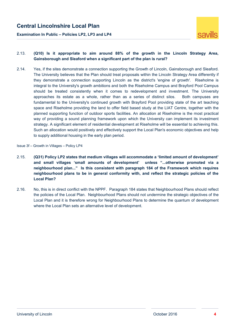

**Examination In Public – Policies LP2, LP3 and LP4** 

#### 2.13. **(Q10) Is it appropriate to aim around 88% of the growth in the Lincoln Strategy Area, Gainsborough and Sleaford when a significant part of the plan is rural?**

2.14. Yes, if the sites demonstrate a connection supporting the Growth of Lincoln, Gainsborough and Sleaford. The University believes that the Plan should treat proposals within the Lincoln Strategy Area differently if they demonstrate a connection supporting Lincoln as the district's 'engine of growth'. Riseholme is integral to the University's growth ambitions and both the Riseholme Campus and Brayford Pool Campus should be treated consistently when it comes to redevelopment and investment. The University approaches its estate as a whole, rather than as a series of distinct silos. Both campuses are fundamental to the University's continued growth with Brayford Pool providing state of the art teaching space and Riseholme providing the land to offer field based study at the LIAT Centre, together with the planned supporting function of outdoor sports facilities. An allocation at Riseholme is the most practical way of providing a sound planning framework upon which the University can implement its investment strategy. A significant element of residential development at Riseholme will be essential to achieving this. Such an allocation would positively and effectively support the Local Plan's economic objectives and help to supply additional housing in the early plan period.

Issue 3f – Growth in Villages – Policy LP4

- 2.15. **(Q31) Policy LP2 states that medium villages will accommodate a 'limited amount of development' and small villages 'small amounts of development' unless "...otherwise promoted via a neighbourhood plan..." Is this consistent with paragraph 184 of the Framework which requires neighbourhood plans to be in general conformity with, and reflect the strategic policies of the Local Plan?**
- 2.16. No, this is in direct conflict with the NPPF. Paragraph 184 states that Neighbourhood Plans should reflect the policies of the Local Plan. Neighbourhood Plans should not undermine the strategic objectives of the Local Plan and it is therefore wrong for Neighbourhood Plans to determine the quantum of development where the Local Plan sets an alternative level of development.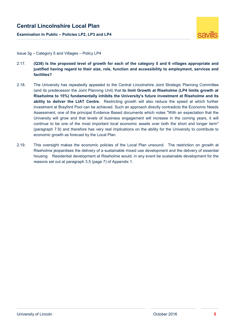**Examination In Public – Policies LP2, LP3 and LP4** 



Issue 3g – Category 5 and Villages – Policy LP4

- 2.17. (Q36) Is the proposed level of growth for each of the category 5 and 6 villages appropriate and **justified having regard to their size, role, function and accessibility to employment, services and facilities?**
- 2.18. The University has repeatedly appealed to the Central Lincolnshire Joint Strategic Planning Committee (and its predecessor the Joint Planning Unit) that **to limit Growth at Riseholme (LP4 limits growth at Riseholme to 15%) fundamentally inhibits the University's future investment at Riseholme and its ability to deliver the LIAT Centre.** Restricting growth will also reduce the speed at which further investment at Brayford Pool can be achieved. Such an approach directly contradicts the Economic Needs Assessment, one of the principal Evidence Based documents which notes "With an expectation that the University will grow and that levels of business engagement will increase in the coming years, it will continue to be one of the most important local economic assets over both the short and longer term'' (paragraph 7.9) and therefore has very real implications on the ability for the University to contribute to economic growth as forecast by the Local Plan.
- 2.19. This oversight makes the economic policies of the Local Plan unsound. The restriction on growth at Riseholme jeopardises the delivery of a sustainable mixed use development and the delivery of essential housing. Residential development at Riseholme would, in any event be sustainable development for the reasons set out at paragraph 3.5 (page 7) of Appendix 1.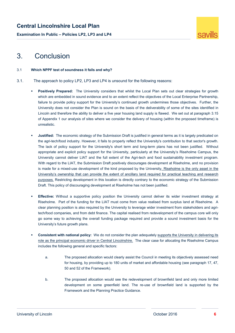**Examination In Public – Policies LP2, LP3 and LP4** 



# 3. Conclusion

#### 3.1 **Which NPPF test of soundness it fails and why?**

- 3.1. The approach to policy LP2, LP3 and LP4 is unsound for the following reasons:
	- ß **Positively Prepared:** The University considers that whilst the Local Plan sets out clear strategies for growth which are embedded in sound evidence and to an extent reflect the objectives of the Local Enterprise Partnership, failure to provide policy support for the University's continued growth undermines those objectives. Further, the University does not consider the Plan is sound on the basis of the deliverability of some of the sites identified in Lincoln and therefore the ability to deliver a five year housing land supply is flawed. We set out at paragraph 3.15 of Appendix 1 our analysis of sites where we consider the delivery of housing (within the proposed timeframe) is unrealistic.
	- ß **Justified:** The economic strategy of the Submission Draft is justified in general terms as it is largely predicated on the agri-tech/food industry. However, it fails to properly reflect the University's contribution to that sector's growth. The lack of policy support for the University's short term and long-term plans has not been justified. Without appropriate and explicit policy support for the University, particularly at the University's Riseholme Campus, the University cannot deliver LIAT and the full extent of the Agri-tech and food sustainability investment program. With regard to the LIAT, the Submission Draft positively discourages development at Riseholme, and no provision is made for a mixed-use development of the kind proposed by the University. Riseholme is the only asset in the University's ownership that can provide the extent of ancillary land required for practical teaching and research purposes. Restricting development in this location is directly contrary to the economic strategy of the Submission Draft. This policy of discouraging development at Riseholme has not been justified.
	- ß **Effective:** Without a supportive policy position the University cannot deliver its wider investment strategy at Riseholme. Part of the funding for the LIAT must come from value realised from surplus land at Riseholme. A clear planning position is also required by the University to leverage wider investment from stakeholders and agritech/food companies, and from debt finance. The capital realised from redevelopment of the campus core will only go some way to achieving the overall funding package required and provide a sound investment basis for the University's future growth plans.
	- ß **Consistent with national policy:** We do not consider the plan adequately supports the University in delivering its role as the principal economic driver in Central Lincolnshire. The clear case for allocating the Riseholme Campus includes the following general and specific factors:
		- a. The proposed allocation would clearly assist the Council in meeting its objectively assessed need for housing, by providing up to 180 units of market and affordable housing (see paragraph 17, 47, 50 and 52 of the Framework).
		- b. The proposed allocation would see the redevelopment of brownfield land and only more limited development on some greenfield land. The re-use of brownfield land is supported by the Framework and the Planning Practice Guidance.